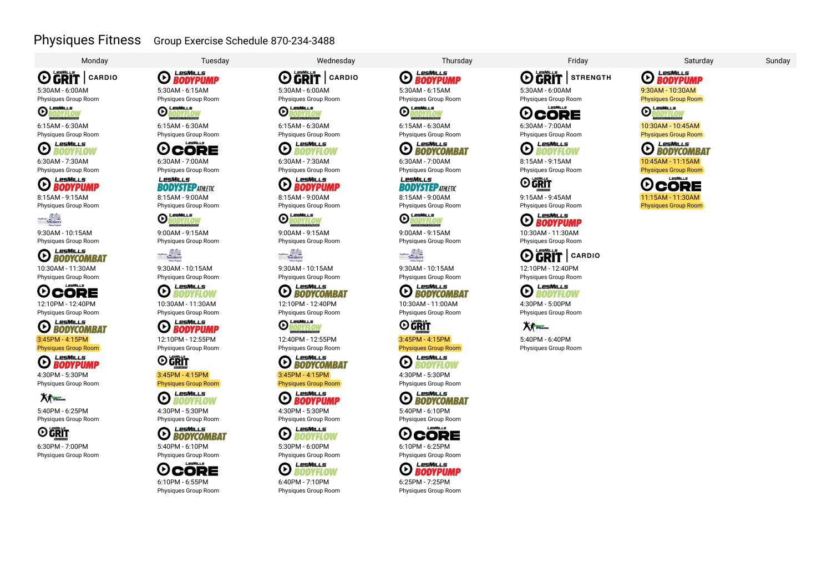## Physiques Fitness Group Exercise Schedule 870-234-3488

**OGRIT** CARDIO 5:30AM - 6:00AM

Physiques Group Room<br>**O LESMILLS** 



6:15AM - 6:30AM Physiques Group Room



6:30AM - 7:30AM

Physiques Group Room<br> **O BODYPUMP** 

8:15AM - 9:15AM Physiques Group Room

**Matthews**<br>SilverSneakers

9:30AM - 10:15AM

Physiques Group Room<br> **C BODYCOMBAT** 

10:30AM - 11:30AM Physiques Group Room

LesMiLLS **OCORE** 12:10PM - 12:40PM

Physiques Group Room

LesMills **O BODYCOMBAT** 3:45PM - 4:15PM Physiques Group Room

**O BODYPUMP** 4:30PM - 5:30PM Physiques Group Room

# 大麻

5:40PM - 6:25PM Physiques Group Room



6:30PM - 7:00PM Physiques Group Room

LesMills **O** BODYPUMP 5:30AM - 6:15AM

Physiques Group Room<br> **O LESMILLS** 

**ODYFLO** 6:15AM - 6:30AM Physiques Group Room



6:30AM - 7:00AM Physiques Group Room **LesMiLLS** 

**BODYSTEP ATHLETIC** 8:15AM - 9:00AM Physiques Group Room

**OBODYFLOW** 

9:00AM - 9:15AM Physiques Group Room

Silver Sneakers

9:30AM - 10:15AM Physiques Group Room

**O** BODYFLOW LesMills 10:30AM - 11:30AM

Physiques Group Room LesMills

**E** BODYPUMP 12:10PM - 12:55PM



3:45PM - 4:15PM Physiques Group Room

LesMills **O** BODYFLOW

4:30PM - 5:30PM Physiques Group Room

**O BODYCOMBAT** 

5:40PM - 6:10PM Physiques Group Room LPSMILLS

**OCORE** 6:10PM - 6:55PM Physiques Group Room

Monday Tuesday Wednesday Thursday Friday Saturday Sunday



Physiques Group Room<br>**O LESMILLS**<br>**O RODYELOU BODYFLOV** 

6:15AM - 6:30AM Physiques Group Room





8:15AM - 9:00AM Physiques Group Room

**OBODYFLOV** 9:00AM - 9:15AM

Physiques Group Room Silver Sneakers

9:30AM - 10:15AM Physiques Group Room **O BODYCOMBAT** LesMills

12:10PM - 12:40PM

Physiques Group Room<br> **O LESMILLS**<br> **O BODYELALLE** ODYFLOI



**O EDINILLS** 3:45PM - 4:15PM

Physiques Group Room LesMills **EXPLORE BODYPUMP** 

4:30PM - 5:30PM



5:30PM - 6:00PM Physiques Group Room



6:40PM - 7:10PM Physiques Group Room

LesMills **O BODYPUMP** 

5:30AM - 6:15AM Physiques Group Room<br>**O LESMILLS**<br>**O BODYFI OW** 

**RODYFLOI** 

6:15AM - 6:30AM Physiques Group Room

### **CONSTRUCT BODYCOMBAT** LesMills

Physiques Group Room

LesMiLLs **BODYSTEP ATHLETIC** 

8:15AM - 9:00AM Physiques Group Room

**OBODYFLOW** 9:00AM - 9:15AM

Physiques Group Room **Silver Sneakers** 

9:30AM - 10:15AM Physiques Group Room

**D BODYCOMBAT**<br>10:30AM - 11:00AM LesMills

Physiques Group Room

**O** GRIT 3:45PM - 4:15PM

Physiques Group Room

**O BODYFLOW** 4:30PM - 5:30PM Physiques Group Room

LesMills **ED** BODYCOMBAT

5:40PM - 6:10PM Physiques Group Room



6:10PM - 6:25PM Physiques Group Room

LesMills **EXPLORE BODYPUMP** 6:25PM - 7:25PM

Physiques Group Room

**OGRIT** STRENGTH 5:30AM - 6:00AM

Physiques Group Room  $I = SMI + G$ 

**OCORE** 6:30AM - 7:00AM Physiques Group Room

LesMills **O** BODYFLOW

> 8:15AM - 9:15AM Physiques Group Room

**O** GRIT

9:15AM - 9:45AM Physiques Group Room

**D BODYPUMP**<br>10:30AM - 11:30AM LesMills

Physiques Group Room

**O GRIT** I CARDIO 12:10PM - 12:40PM

Physiques Group Room

**O** BODYFLOW

4:30PM - 5:00PM Physiques Group Room

**A** 5:40PM - 6:40PM Physiques Group Room

LesMills **EXPLASIVE DR** 9:30AM - 10:30AM **Physiques Group Room**<br>**O RODYELOW** 

10:30AM - 10:45AM Physiques Group Room

BODYFLOV

10:45AM - 11:15AM Physiques Group Room

**O BODYCOMBAT** 

LesMiLLS

11:15AM - 11:30AM Physiques Group Room

**OCORE**